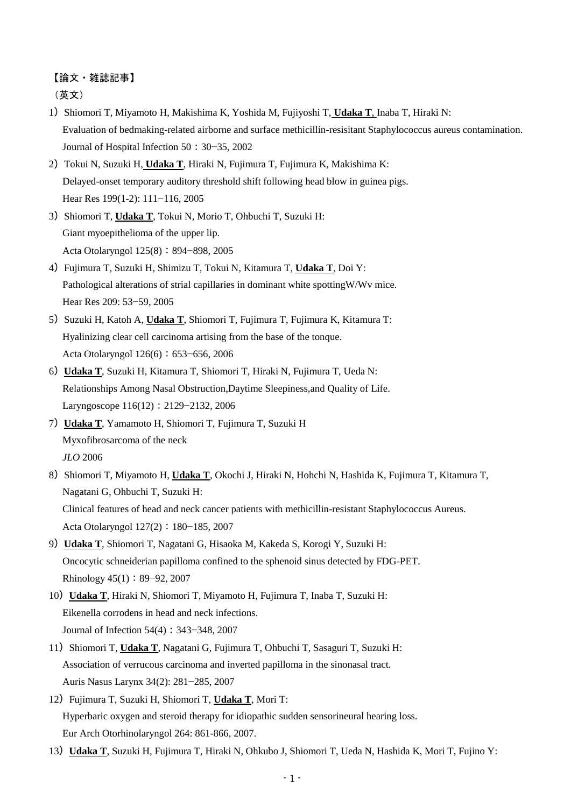## 【論文・雑誌記事】

(英文)

- 1) Shiomori T, Miyamoto H, Makishima K, Yoshida M, Fujiyoshi T, Udaka T, Inaba T, Hiraki N: Evaluation of bedmaking-related airborne and surface methicillin-resisitant Staphylococcus aureus contamination. Journal of Hospital Infection 50:30−35, 2002
- 2)Tokui N, Suzuki H, **Udaka T**, Hiraki N, Fujimura T, Fujimura K, Makishima K: Delayed-onset temporary auditory threshold shift following head blow in guinea pigs. Hear Res 199(1-2): 111−116, 2005
- 3) Shiomori T, **Udaka T**, Tokui N, Morio T, Ohbuchi T, Suzuki H: Giant myoepithelioma of the upper lip. Acta Otolaryngol 125(8): 894−898, 2005
- 4)Fujimura T, Suzuki H, Shimizu T, Tokui N, Kitamura T, **Udaka T**, Doi Y: Pathological alterations of strial capillaries in dominant white spottingW/Wv mice. Hear Res 209: 53−59, 2005
- 5) Suzuki H, Katoh A, *Udaka T*, Shiomori T, Fujimura T, Fujimura K, Kitamura T: Hyalinizing clear cell carcinoma artising from the base of the tonque. Acta Otolaryngol 126(6):653−656, 2006
- 6)**Udaka T**, Suzuki H, Kitamura T, Shiomori T, Hiraki N, Fujimura T, Ueda N: Relationships Among Nasal Obstruction,Daytime Sleepiness,and Quality of Life. Laryngoscope 116(12):2129−2132, 2006
- 7)**Udaka T**, Yamamoto H, Shiomori T, Fujimura T, Suzuki H Myxofibrosarcoma of the neck *JLO* 2006
- 8) Shiomori T, Miyamoto H, *Udaka T*, Okochi J, Hiraki N, Hohchi N, Hashida K, Fujimura T, Kitamura T, Nagatani G, Ohbuchi T, Suzuki H: Clinical features of head and neck cancer patients with methicillin-resistant Staphylococcus Aureus. Acta Otolaryngol 127(2): 180−185, 2007
- 9)**Udaka T**, Shiomori T, Nagatani G, Hisaoka M, Kakeda S, Korogi Y, Suzuki H: Oncocytic schneiderian papilloma confined to the sphenoid sinus detected by FDG-PET. Rhinology 45(1):89−92, 2007
- 10)**Udaka T**, Hiraki N, Shiomori T, Miyamoto H, Fujimura T, Inaba T, Suzuki H: Eikenella corrodens in head and neck infections. Journal of Infection 54(4):343−348, 2007
- 11) Shiomori T, **Udaka T**, Nagatani G, Fujimura T, Ohbuchi T, Sasaguri T, Suzuki H: Association of verrucous carcinoma and inverted papilloma in the sinonasal tract. Auris Nasus Larynx 34(2): 281−285, 2007
- 12)Fujimura T, Suzuki H, Shiomori T, **Udaka T**, Mori T: Hyperbaric oxygen and steroid therapy for idiopathic sudden sensorineural hearing loss. Eur Arch Otorhinolaryngol 264: 861-866, 2007.
- 13)**Udaka T**, Suzuki H, Fujimura T, Hiraki N, Ohkubo J, Shiomori T, Ueda N, Hashida K, Mori T, Fujino Y: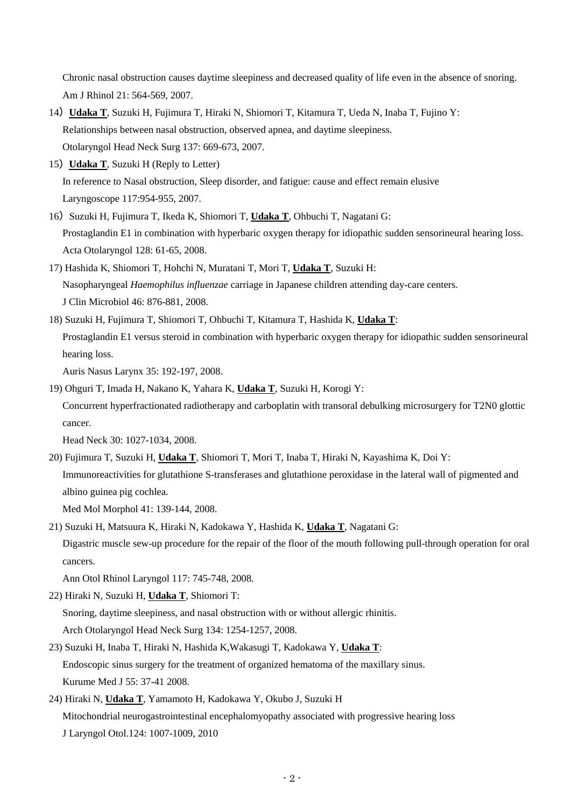Chronic nasal obstruction causes daytime sleepiness and decreased quality of life even in the absence of snoring. Am J Rhinol 21: 564-569, 2007.

- 14)**Udaka T**, Suzuki H, Fujimura T, Hiraki N, Shiomori T, Kitamura T, Ueda N, Inaba T, Fujino Y: Relationships between nasal obstruction, observed apnea, and daytime sleepiness. Otolaryngol Head Neck Surg 137: 669-673, 2007.
- 15)**Udaka T**, Suzuki H (Reply to Letter) In reference to Nasal obstruction, Sleep disorder, and fatigue: cause and effect remain elusive Laryngoscope 117:954-955, 2007.
- 16) Suzuki H, Fujimura T, Ikeda K, Shiomori T, Udaka T, Ohbuchi T, Nagatani G: Prostaglandin E1 in combination with hyperbaric oxygen therapy for idiopathic sudden sensorineural hearing loss. Acta Otolaryngol 128: 61-65, 2008.
- 17) Hashida K, Shiomori T, Hohchi N, Muratani T, Mori T, **Udaka T**, Suzuki H: Nasopharyngeal *Haemophilus influenzae* carriage in Japanese children attending day-care centers. J Clin Microbiol 46: 876-881, 2008.
- 18) Suzuki H, Fujimura T, Shiomori T, Ohbuchi T, Kitamura T, Hashida K, **Udaka T**: Prostaglandin E1 versus steroid in combination with hyperbaric oxygen therapy for idiopathic sudden sensorineural hearing loss.

Auris Nasus Larynx 35: 192-197, 2008.

19) Ohguri T, Imada H, Nakano K, Yahara K, **Udaka T**, Suzuki H, Korogi Y:

Concurrent hyperfractionated radiotherapy and carboplatin with transoral debulking microsurgery for T2N0 glottic cancer.

Head Neck 30: 1027-1034, 2008.

20) Fujimura T, Suzuki H, **Udaka T**, Shiomori T, Mori T, Inaba T, Hiraki N, Kayashima K, Doi Y: Immunoreactivities for glutathione S-transferases and glutathione peroxidase in the lateral wall of pigmented and albino guinea pig cochlea. Med Mol Morphol 41: 139-144, 2008.

21) Suzuki H, Matsuura K, Hiraki N, Kadokawa Y, Hashida K, **Udaka T**, Nagatani G: Digastric muscle sew-up procedure for the repair of the floor of the mouth following pull-through operation for oral cancers.

Ann Otol Rhinol Laryngol 117: 745-748, 2008.

- 22) Hiraki N, Suzuki H, **Udaka T**, Shiomori T: Snoring, daytime sleepiness, and nasal obstruction with or without allergic rhinitis. Arch Otolaryngol Head Neck Surg 134: 1254-1257, 2008.
- 23) Suzuki H, Inaba T, Hiraki N, Hashida K,Wakasugi T, Kadokawa Y, **Udaka T**: Endoscopic sinus surgery for the treatment of organized hematoma of the maxillary sinus. Kurume Med J 55: 37-41 2008.
- 24) Hiraki N, **Udaka T**, Yamamoto H, Kadokawa Y, Okubo J, Suzuki H Mitochondrial neurogastrointestinal encephalomyopathy associated with progressive hearing loss J Laryngol Otol.124: 1007-1009, 2010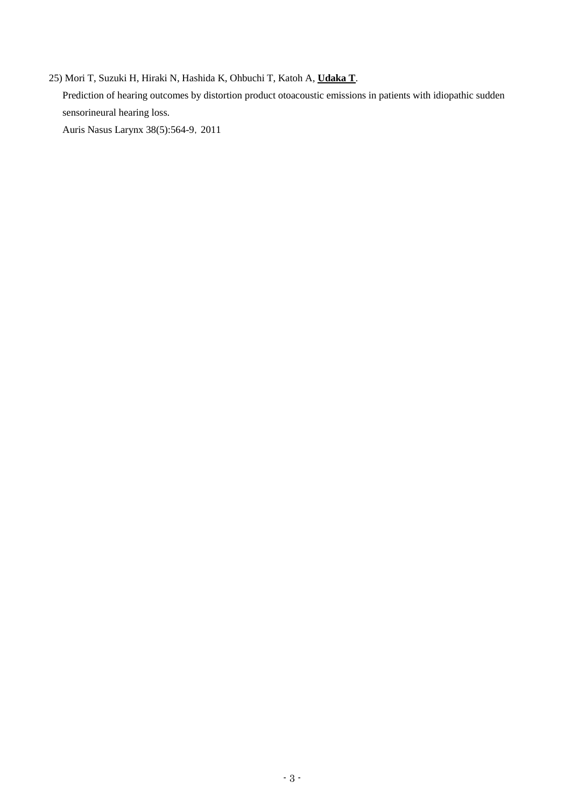25) Mori T, Suzuki H, Hiraki N, Hashida K, Ohbuchi T, Katoh A, **Udaka T**. [Prediction of hearing outcomes by distortion product otoacoustic emissions in](http://www.ncbi.nlm.nih.gov/pubmed/21324619) patients with idiopathic sudden [sensorineural hearing loss.](http://www.ncbi.nlm.nih.gov/pubmed/21324619)

Auris Nasus Larynx 38(5):564-9,2011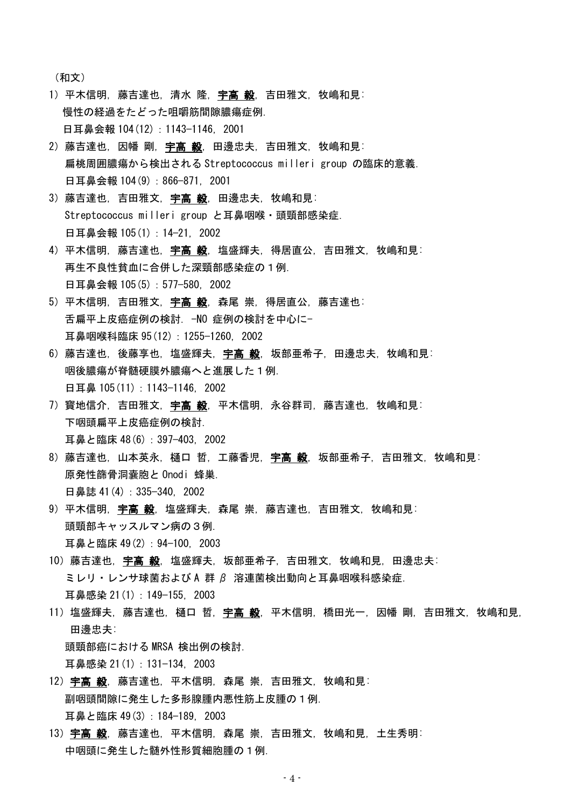(和文)

- 1)平木信明,藤吉達也,清水隆,宇高毅,吉田雅文,牧嶋和見: 慢性の経過をたどった咀嚼筋間隙膿瘍症例. 日耳鼻会報 104 (12): 1143-1146, 2001
- 2)藤吉達也, 因幡 剛, 宇高 毅, 田邊忠夫, 吉田雅文, 牧嶋和見: 扁桃周囲膿瘍から検出される Streptococcus milleri group の臨床的意義. 日耳鼻会報 104(9): 866-871, 2001
- 3)藤吉達也, 吉田雅文, 宇高 毅, 田邊忠夫, 牧嶋和見; Streptococcus milleri group と耳鼻咽喉・頭頸部感染症. 日耳鼻会報 105(1): 14−21, 2002
- 4)平木信明,藤吉達也,宇高毅,塩盛輝夫,得居直公,吉田雅文,牧嶋和見: 再生不良性貧血に合併した深頸部感染症の1例. 日耳鼻会報 105(5): 577−580, 2002
- 5)平木信明, 吉田雅文, 宇高 毅, 森尾 崇, 得居直公, 藤吉達也: 舌扁平上皮癌症例の検討. -NO 症例の検討を中心に-耳鼻咽喉科臨床 95(12):1255−1260, 2002
- 6)藤吉達也, 後藤享也, 塩盛輝夫, 宇高 毅, 坂部亜希子, 田邊忠夫, 牧嶋和見: 咽後膿瘍が脊髄硬膜外膿瘍へと進展した1例. 日耳鼻 105(11): 1143−1146, 2002
- 7)寳地信介,吉田雅文,宇高 毅,平木信明,永谷群司,藤吉達也,牧嶋和見: 下咽頭扁平上皮癌症例の検討. 耳鼻と臨床 48(6): 397−403, 2002
- 8) 藤吉達也, 山本英永, 樋口 哲, 工藤香児, 宇高 毅, 坂部亜希子, 吉田雅文, 牧嶋和見: 原発性篩骨洞嚢胞と Onodi 蜂巣. 日鼻誌 41(4): 335−340, 2002
- 9)平木信明, 宇高 毅, 塩盛輝夫, 森尾 崇, 藤吉達也, 吉田雅文, 牧嶋和見: 頭頸部キャッスルマン病の3例. 耳鼻と臨床 49(2):94−100, 2003
- 10)藤吉達也,宇高 毅,塩盛輝夫,坂部亜希子,吉田雅文,牧嶋和見,田邊忠夫; ミレリ・レンサ球菌および A 群 β 溶連菌検出動向と耳鼻咽喉科感染症. 耳鼻感染 21(1):149−155, 2003
- 11) 塩盛輝夫, 藤吉達也, 樋口 哲, <mark>宇高 毅</mark>, 平木信明, 橋田光一, 因幡 剛, 吉田雅文, 牧嶋和見, 田邊忠夫: 頭頸部癌における MRSA 検出例の検討.

耳鼻感染 21(1):131−134, 2003

- 12) 宇高 毅, 藤吉達也, 平木信明, 森尾 崇, 吉田雅文, 牧嶋和見; 副咽頭間隙に発生した多形腺腫内悪性筋上皮腫の1例. 耳鼻と臨床 49(3):184−189, 2003
- 13) 宇高 毅, 藤吉達也, 平木信明, 森尾 崇, 吉田雅文, 牧嶋和見, 土生秀明: 中咽頭に発生した髄外性形質細胞腫の1例.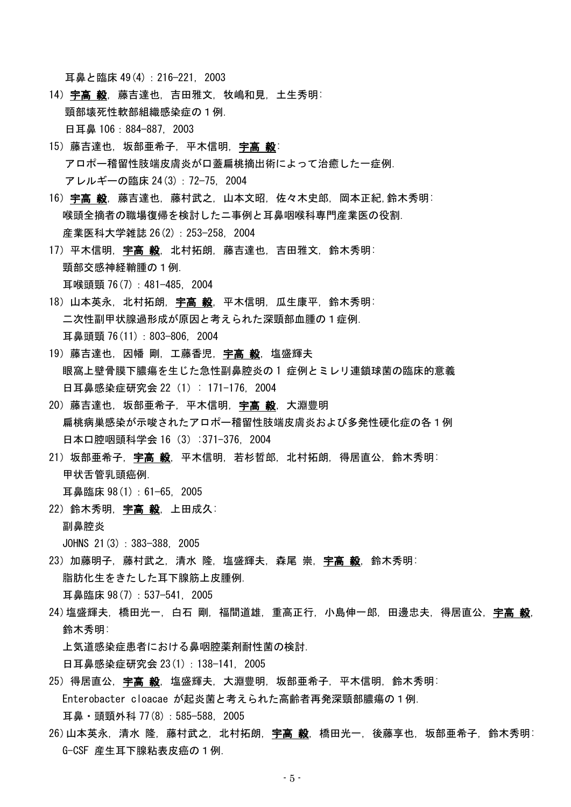耳鼻と臨床 49(4):216−221, 2003

- 14) 宇高 毅, 藤吉達也, 吉田雅文, 牧嶋和見, 土生秀明; 頸部壊死性軟部組織感染症の1例. 日耳鼻 106:884−887, 2003
- 15)藤吉達也, 坂部亜希子, 平木信明, 宇高 毅: アロポー稽留性肢端皮膚炎が口蓋扁桃摘出術によって治癒した一症例. アレルギーの臨床 24(3):72−75, 2004
- 16)宇高 毅, 藤吉達也, 藤村武之, 山本文昭, 佐々木史郎, 岡本正紀,鈴木秀明; 喉頭全摘者の職場復帰を検討したニ事例と耳鼻咽喉科専門産業医の役割. 産業医科大学雑誌 26(2):253−258, 2004
- 17)平木信明, 宇高 毅, 北村拓朗, 藤吉達也, 吉田雅文, 鈴木秀明; 頸部交感神経鞘腫の1例. 耳喉頭頸 76(7):481−485, 2004
- 18)山本英永, 北村拓朗, 宇高 毅, 平木信明, 瓜生康平, 鈴木秀明: 二次性副甲状腺過形成が原因と考えられた深頸部血腫の1症例. 耳鼻頭頸 76(11):803−806, 2004
- 19)藤吉達也,因幡 剛,工藤香児,宇高毅,塩盛輝夫 眼窩上壁骨膜下膿瘍を生じた急性副鼻腔炎の 1 症例とミレリ連鎖球菌の臨床的意義 日耳鼻感染症研究会 22 (1): 171-176, 2004
- 20) 藤吉達也, 坂部亜希子, 平木信明, **宇高 毅**, 大淵豊明 扁桃病巣感染が示唆されたアロポー稽留性肢端皮膚炎および多発性硬化症の各1例 日本口腔咽頭科学会 16 (3) :371-376, 2004
- 21)坂部亜希子, 宇高 毅, 平木信明, 若杉哲郎, 北村拓朗, 得居直公, 鈴木秀明: 甲状舌管乳頭癌例.

耳鼻臨床 98(1):61−65, 2005

22) 鈴木秀明, 宇高 毅, 上田成久: 副鼻腔炎

JOHNS 21(3):383−388, 2005

- 23) 加藤明子, 藤村武之, 清水 隆, 塩盛輝夫, 森尾 崇, 宇高 毅, 鈴木秀明: 脂肪化生をきたした耳下腺筋上皮腫例. 耳鼻臨床 98(7):537−541, 2005
- 24)塩盛輝夫, 橋田光一, 白石 剛, 福間道雄, 重高正行, 小島伸一郎, 田邊忠夫, 得居直公, 宇高 毅, 鈴木秀明:

上気道感染症患者における鼻咽腔薬剤耐性菌の検討.

日耳鼻感染症研究会 23(1): 138−141, 2005

- 25)得居直公, 宇高 毅, 塩盛輝夫, 大淵豊明, 坂部亜希子, 平木信明, 鈴木秀明; Enterobacter cloacae が起炎菌と考えられた高齢者再発深頸部膿瘍の1例. 耳鼻・頭頸外科 77(8):585−588, 2005
- 26)山本英永, 清水 隆, 藤村武之, 北村拓朗, 宇高 毅, 橋田光一, 後藤享也, 坂部亜希子, 鈴木秀明: G-CSF 産生耳下腺粘表皮癌の1例.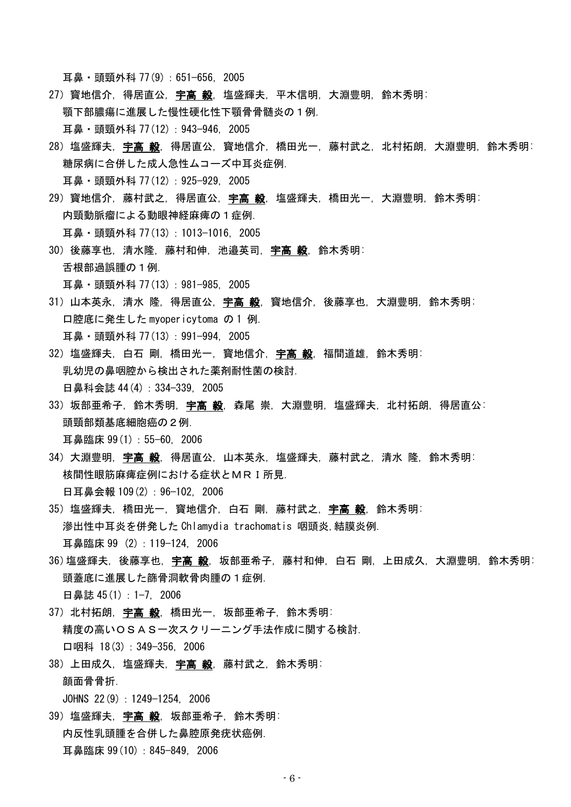耳鼻・頭頸外科 77(9):651−656, 2005

- 27) 寳地信介, 得居直公, 宇高 毅, 塩盛輝夫, 平木信明, 大淵豊明, 鈴木秀明: 顎下部膿瘍に進展した慢性硬化性下顎骨骨髄炎の1例. 耳鼻・頭頸外科 77(12):943−946, 2005
- 28) 塩盛輝夫, 宇高 毅, 得居直公, 寳地信介, 橋田光一, 藤村武之, 北村拓朗, 大淵豊明, 鈴木秀明; 糖尿病に合併した成人急性ムコーズ中耳炎症例. 耳鼻・頭頸外科 77(12):925−929, 2005
- 29) 寳地信介, 藤村武之, 得居直公, 宇高 毅, 塩盛輝夫, 橋田光一, 大淵豊明, 鈴木秀明: 内頸動脈瘤による動眼神経麻痺の1症例.

耳鼻・頭頸外科 77(13):1013−1016, 2005

30)後藤享也, 清水降, 藤村和伸, 池邉英司, 宇高 毅, 鈴木秀明; 舌根部過誤腫の1例.

耳鼻・頭頸外科 77(13):981−985, 2005

- 31)山本英永, 清水 隆, 得居直公, 宇高 毅, 寳地信介, 後藤享也, 大淵豊明, 鈴木秀明: 口腔底に発生した myopericytoma の 1 例. 耳鼻・頭頸外科 77(13):991−994, 2005
- 32) 塩盛輝夫, 白石 剛, 橋田光一, 寳地信介, 宇高 毅, 福間道雄, 鈴木秀明: 乳幼児の鼻咽腔から検出された薬剤耐性菌の検討. 日鼻科会誌 44(4): 334-339, 2005
- 33)坂部亜希子,鈴木秀明,**宇高 毅**,森尾 崇,大淵豊明,塩盛輝夫,北村拓朗,得居直公: 頭頸部類基底細胞癌の2例.

耳鼻臨床 99(1):55−60, 2006

- 34) 大淵豊明,**宇高 毅**,得居直公,山本英永,塩盛輝夫,藤村武之,清水 隆,鈴木秀明: 核間性眼筋麻痺症例における症状とMRI所見. 日耳鼻会報 109(2): 96-102, 2006
- 35)塩盛輝夫, 橋田光一, 寳地信介, 白石 剛, 藤村武之, 宇高 毅, 鈴木秀明: 滲出性中耳炎を併発した Chlamydia trachomatis 咽頭炎,結膜炎例. 耳鼻臨床 99 (2):119−124, 2006
- 36)塩盛輝夫, 後藤享也, 宇高 毅, 坂部亜希子, 藤村和伸, 白石 剛, 上田成久, 大淵豊明, 鈴木秀明: 頭蓋底に進展した篩骨洞軟骨肉腫の1症例. 日鼻誌 45(1): 1−7, 2006
- 37) 北村拓朗, 宇高 毅, 橋田光一, 坂部亜希子, 鈴木秀明: 精度の高いOSAS一次スクリーニング手法作成に関する検討. 口咽科 18(3):349−356, 2006
- 38) 上田成久, 塩盛輝夫, 宇高 毅, 藤村武之, 鈴木秀明; 顔面骨骨折.

JOHNS 22(9):1249−1254, 2006

39)塩盛輝夫, 宇高 毅, 坂部亜希子, 鈴木秀明: 内反性乳頭腫を合併した鼻腔原発疣状癌例. 耳鼻臨床 99(10):845−849, 2006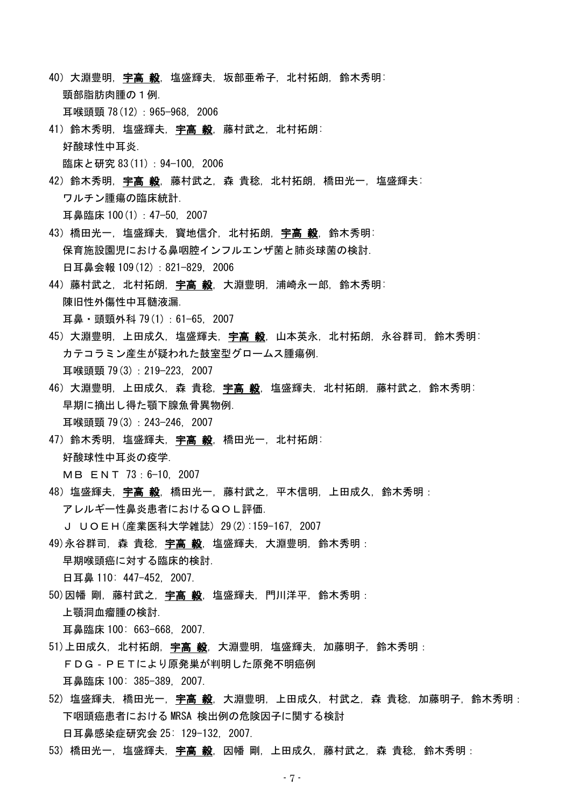- 40)大淵豊明, 宇高 毅, 塩盛輝夫, 坂部亜希子, 北村拓朗, 鈴木秀明: 頸部脂肪肉腫の1例. 耳喉頭頸 78(12):965−968, 2006
- 41) 鈴木秀明, 塩盛輝夫, 宇高 毅, 藤村武之, 北村拓朗: 好酸球性中耳炎. 臨床と研究 83(11):94−100, 2006
- 42) 鈴木秀明, 宇高 毅, 藤村武之, 森 貴稔, 北村拓朗, 橋田光一, 塩盛輝夫: ワルチン腫瘍の臨床統計. 耳鼻臨床 100(1):47−50, 2007
- 43) 橋田光一, 塩盛輝夫, 寳地信介, 北村拓朗, 宇高 毅, 鈴木秀明: 保育施設園児における鼻咽腔インフルエンザ菌と肺炎球菌の検討。 日耳鼻会報 109(12): 821-829, 2006
- 44) 藤村武之, 北村拓朗, 宇高 毅, 大淵豊明, 浦崎永一郎, 鈴木秀明: 陳旧性外傷性中耳髄液漏.

耳鼻・頭頸外科 79(1):61−65, 2007

- 45)大淵豊明,上田成久,塩盛輝夫,**宇高 毅**,山本英永,北村拓朗,永谷群司,鈴木秀明: カテコラミン産生が疑われた鼓室型グロームス腫瘍例. 耳喉頭頸 79(3):219−223, 2007
- 46) 大淵豊明,上田成久,森 貴稔,**宇高 毅**,塩盛輝夫,北村拓朗,藤村武之,鈴木秀明: 早期に摘出し得た顎下腺魚骨異物例. 耳喉頭頸 79(3):243−246, 2007
- 47) 鈴木秀明, 塩盛輝夫, 宇高 毅, 橋田光一, 北村拓朗: 好酸球性中耳炎の疫学.

MB ENT 73:6−10, 2007

48) 塩盛輝夫, **宇高 毅**, 橋田光一, 藤村武之, 平木信明, 上田成久, 鈴木秀明: アレルギー性鼻炎患者におけるQOL評価.

J UOEH(産業医科大学雑誌) 29(2):159-167, 2007

- 49)永谷群司, 森 貴稔, 宇高 毅, 塩盛輝夫, 大淵豊明, 鈴木秀明: 早期喉頭癌に対する臨床的検討. 日耳鼻 110: 447-452, 2007.
- 50)因幡 剛, 藤村武之, 宇高 毅, 塩盛輝夫, 門川洋平, 鈴木秀明 : 上顎洞血瘤腫の検討.

耳鼻臨床 100: 663-668, 2007.

- 51)上田成久, 北村拓朗, 宇高 毅, 大淵豊明, 塩盛輝夫, 加藤明子, 鈴木秀明: FDG‐PETにより原発巣が判明した原発不明癌例 耳鼻臨床 100: 385-389, 2007.
- 52) 塩盛輝夫, 橋田光一, 宇高 毅, 大淵豊明, 上田成久, 村武之, 森 貴稔, 加藤明子, 鈴木秀明: 下咽頭癌患者における MRSA 検出例の危険因子に関する検討 日耳鼻感染症研究会 25: 129-132, 2007.
- 53) 橋田光一, 塩盛輝夫, 宇高 毅, 因幡 剛, 上田成久, 藤村武之, 森 貴稔, 鈴木秀明: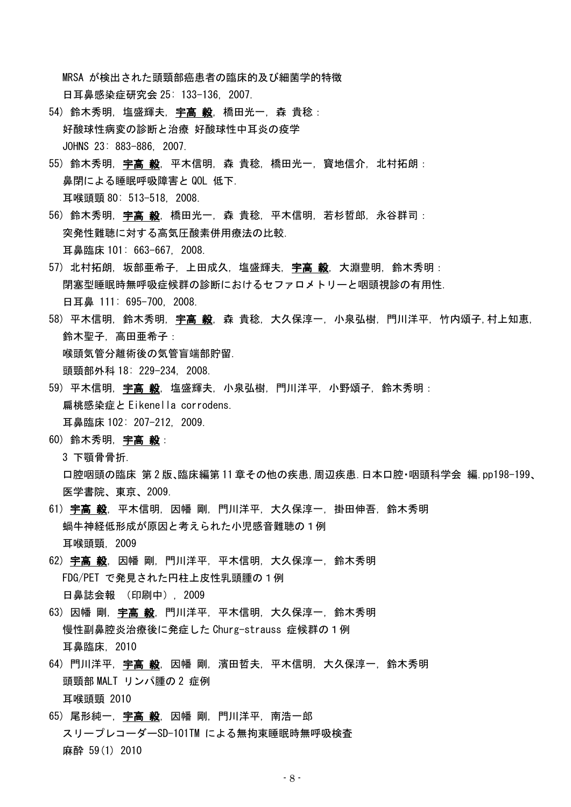MRSA が検出された頭頸部癌患者の臨床的及び細菌学的特徴 日耳鼻感染症研究会 25: 133-136, 2007.

- 54) 鈴木秀明, 塩盛輝夫, 宇高 毅, 橋田光一, 森 貴稔: 好酸球性病変の診断と治療 好酸球性中耳炎の疫学 JOHNS 23: 883-886, 2007.
- 55) 鈴木秀明, 宇高 毅, 平木信明, 森 貴稔, 橋田光一, 寳地信介, 北村拓朗: 鼻閉による睡眠呼吸障害と QOL 低下. 耳喉頭頸 80: 513-518, 2008.
- 56) 鈴木秀明, 宇高 毅, 橋田光一, 森 貴稔, 平木信明, 若杉哲郎, 永谷群司: 突発性難聴に対する高気圧酸素併用療法の比較. 耳鼻臨床 101: 663-667, 2008.
- 57) 北村拓朗, 坂部亜希子, 上田成久, 塩盛輝夫, 宇高 毅, 大淵豊明, 鈴木秀明: 閉塞型睡眠時無呼吸症候群の診断におけるセファロメトリーと咽頭視診の有用性. 日耳鼻 111: 695-700, 2008.
- 58) 平木信明, 鈴木秀明, 宇高 毅, 森 貴稔, 大久保淳一, 小泉弘樹, 門川洋平, 竹内頌子,村上知恵, 鈴木聖子, 高田亜希子: 喉頭気管分離術後の気管盲端部貯留.

頭頸部外科 18: 229-234, 2008.

- 59) 平木信明,**宇高 毅**,塩盛輝夫,小泉弘樹,門川洋平,小野頌子,鈴木秀明 : 扁桃感染症と Eikenella corrodens. 耳鼻臨床 102: 207-212, 2009.
- 60) 鈴木秀明, 宇高 毅:
	- 3 下顎骨骨折.

口腔咽頭の臨床 第 2 版、臨床編第 11 章その他の疾患,周辺疾患.日本口腔・咽頭科学会 編.pp198-199、 医学書院、東京、2009.

- 61) 宇高 毅, 平木信明, 因幡 剛, 門川洋平, 大久保淳一, 掛田伸吾, 鈴木秀明 蝸牛神経低形成が原因と考えられた小児感音難聴の1例 耳喉頭頸, 2009
- 62) 宇高 毅, 因幡 剛, 門川洋平, 平木信明, 大久保淳一, 鈴木秀明 FDG/PET で発見された円柱上皮性乳頭腫の1例 日鼻誌会報 (印刷中), 2009
- 63) 因幡 剛, 宇高 毅, 門川洋平, 平木信明, 大久保淳一, 鈴木秀明 慢性副鼻腔炎治療後に発症した Churg-strauss 症候群の1例 耳鼻臨床, 2010
- 64) 門川洋平, 宇高 毅, 因幡 剛, 濱田哲夫, 平木信明, 大久保淳一, 鈴木秀明 頭頸部 MALT リンパ腫の2 症例 耳喉頭頸 2010
- 65) 尾形純一, 宇高 毅, 因幡 剛, 門川洋平, 南浩一郎 スリープレコーダーSD-101TM による無拘束睡眠時無呼吸検査 麻酔 59(1) 2010